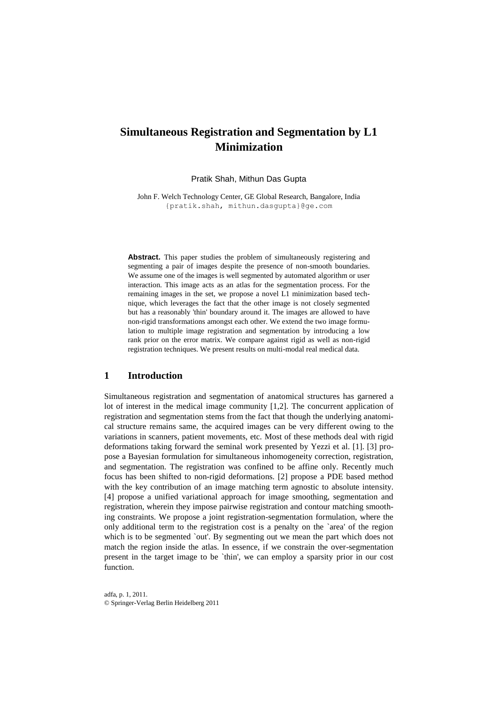# **Simultaneous Registration and Segmentation by L1 Minimization**

Pratik Shah, Mithun Das Gupta

John F. Welch Technology Center, GE Global Research, Bangalore, India {pratik.shah, [mithun.dasgupta}@ge.com](mailto:mithun.dasgupta%7d@ge.com)

Abstract. This paper studies the problem of simultaneously registering and segmenting a pair of images despite the presence of non-smooth boundaries. We assume one of the images is well segmented by automated algorithm or user interaction. This image acts as an atlas for the segmentation process. For the remaining images in the set, we propose a novel L1 minimization based technique, which leverages the fact that the other image is not closely segmented but has a reasonably 'thin' boundary around it. The images are allowed to have non-rigid transformations amongst each other. We extend the two image formulation to multiple image registration and segmentation by introducing a low rank prior on the error matrix. We compare against rigid as well as non-rigid registration techniques. We present results on multi-modal real medical data.

### **1 Introduction**

Simultaneous registration and segmentation of anatomical structures has garnered a lot of interest in the medical image community [1,2]. The concurrent application of registration and segmentation stems from the fact that though the underlying anatomical structure remains same, the acquired images can be very different owing to the variations in scanners, patient movements, etc. Most of these methods deal with rigid deformations taking forward the seminal work presented by Yezzi et al. [1]. [3] propose a Bayesian formulation for simultaneous inhomogeneity correction, registration, and segmentation. The registration was confined to be affine only. Recently much focus has been shifted to non-rigid deformations. [2] propose a PDE based method with the key contribution of an image matching term agnostic to absolute intensity. [4] propose a unified variational approach for image smoothing, segmentation and registration, wherein they impose pairwise registration and contour matching smoothing constraints. We propose a joint registration-segmentation formulation, where the only additional term to the registration cost is a penalty on the `area' of the region which is to be segmented `out'. By segmenting out we mean the part which does not match the region inside the atlas. In essence, if we constrain the over-segmentation present in the target image to be `thin', we can employ a sparsity prior in our cost function.

adfa, p. 1, 2011. © Springer-Verlag Berlin Heidelberg 2011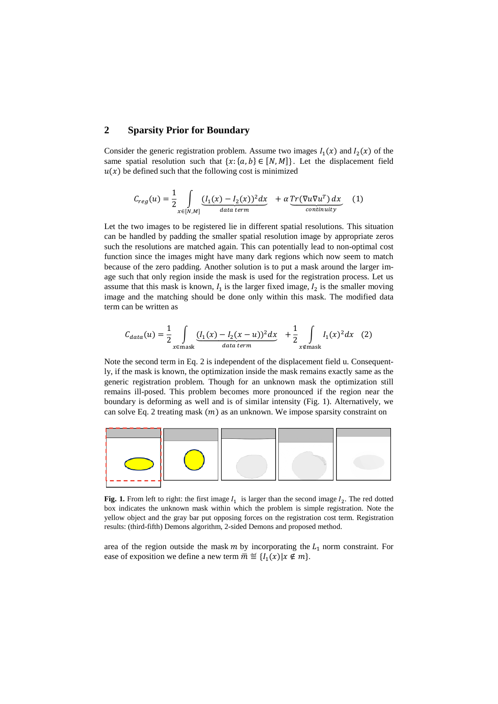## **2 Sparsity Prior for Boundary**

Consider the generic registration problem. Assume two images  $I_1(x)$  and  $I_2(x)$  of the same spatial resolution such that  $\{x: \{a, b\} \in [N, M]\}$ . Let the displacement field  $u(x)$  be defined such that the following cost is minimized

$$
C_{reg}(u) = \frac{1}{2} \int_{x \in [N,M]} \underbrace{(I_1(x) - I_2(x))^2 dx}_{data \ term} + \alpha \underbrace{Tr(\nabla u \nabla u^T) dx}_{continuity}
$$
 (1)

Let the two images to be registered lie in different spatial resolutions. This situation can be handled by padding the smaller spatial resolution image by appropriate zeros such the resolutions are matched again. This can potentially lead to non-optimal cost function since the images might have many dark regions which now seem to match because of the zero padding. Another solution is to put a mask around the larger image such that only region inside the mask is used for the registration process. Let us assume that this mask is known,  $I_1$  is the larger fixed image,  $I_2$  is the smaller moving image and the matching should be done only within this mask. The modified data term can be written as

$$
C_{data}(u) = \frac{1}{2} \int_{x \in \text{mask}} \underbrace{(I_1(x) - I_2(x - u))^2} \, dx + \frac{1}{2} \int_{x \notin \text{mask}} I_1(x)^2 \, dx \tag{2}
$$

Note the second term in Eq. 2 is independent of the displacement field u. Consequently, if the mask is known, the optimization inside the mask remains exactly same as the generic registration problem. Though for an unknown mask the optimization still remains ill-posed. This problem becomes more pronounced if the region near the boundary is deforming as well and is of similar intensity (Fig. 1). Alternatively, we can solve Eq. 2 treating mask  $(m)$  as an unknown. We impose sparsity constraint on



**Fig. 1.** From left to right: the first image  $I_1$  is larger than the second image  $I_2$ . The red dotted box indicates the unknown mask within which the problem is simple registration. Note the yellow object and the gray bar put opposing forces on the registration cost term. Registration results: (third-fifth) Demons algorithm, 2-sided Demons and proposed method.

area of the region outside the mask  $m$  by incorporating the  $L_1$  norm constraint. For ease of exposition we define a new term  $\overline{m} \stackrel{\text{def}}{=} \{I_1(x) | x \notin m\}.$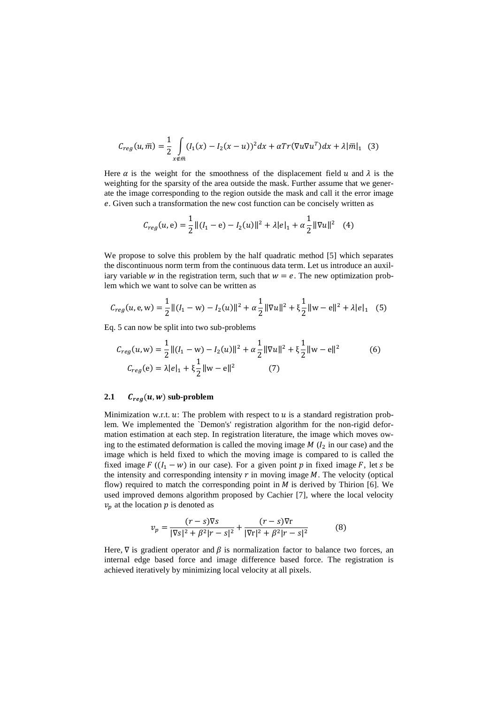$$
C_{reg}(u,\overline{m}) = \frac{1}{2} \int_{x \notin \overline{m}} (I_1(x) - I_2(x-u))^2 dx + \alpha Tr(\nabla u \nabla u^T) dx + \lambda |\overline{m}|_1 \tag{3}
$$

Here  $\alpha$  is the weight for the smoothness of the displacement field u and  $\lambda$  is the weighting for the sparsity of the area outside the mask. Further assume that we generate the image corresponding to the region outside the mask and call it the error image . Given such a transformation the new cost function can be concisely written as

$$
C_{reg}(u, e) = \frac{1}{2} ||(I_1 - e) - I_2(u)||^2 + \lambda |e|_1 + \alpha \frac{1}{2} ||\nabla u||^2
$$
 (4)

We propose to solve this problem by the half quadratic method [5] which separates the discontinuous norm term from the continuous data term. Let us introduce an auxiliary variable w in the registration term, such that  $w = e$ . The new optimization problem which we want to solve can be written as

$$
C_{reg}(u, e, w) = \frac{1}{2} ||(I_1 - w) - I_2(u)||^2 + \alpha \frac{1}{2} ||\nabla u||^2 + \xi \frac{1}{2} ||w - e||^2 + \lambda |e|_1
$$
 (5)

Eq. 5 can now be split into two sub-problems

$$
C_{reg}(u, w) = \frac{1}{2} ||(I_1 - w) - I_2(u)||^2 + \alpha \frac{1}{2} ||\nabla u||^2 + \xi \frac{1}{2} ||w - e||^2
$$
(6)  

$$
C_{reg}(e) = \lambda |e|_1 + \xi \frac{1}{2} ||w - e||^2
$$
(7)

#### **2.1**  $C_{reg}(u, w)$  sub-problem

Minimization w.r.t.  $u$ : The problem with respect to  $u$  is a standard registration problem. We implemented the `Demon's' registration algorithm for the non-rigid deformation estimation at each step. In registration literature, the image which moves owing to the estimated deformation is called the moving image  $M$  ( $I_2$  in our case) and the image which is held fixed to which the moving image is compared to is called the fixed image  $F((I_1 - w))$  in our case). For a given point p in fixed image F, let s be the intensity and corresponding intensity  $r$  in moving image  $M$ . The velocity (optical flow) required to match the corresponding point in  $M$  is derived by Thirion [6]. We used improved demons algorithm proposed by Cachier [7], where the local velocity  $v_p$  at the location p is denoted as

$$
v_p = \frac{(r-s)\nabla s}{|\nabla s|^2 + \beta^2 |r-s|^2} + \frac{(r-s)\nabla r}{|\nabla r|^2 + \beta^2 |r-s|^2}
$$
(8)

Here,  $\nabla$  is gradient operator and  $\beta$  is normalization factor to balance two forces, an internal edge based force and image difference based force. The registration is achieved iteratively by minimizing local velocity at all pixels.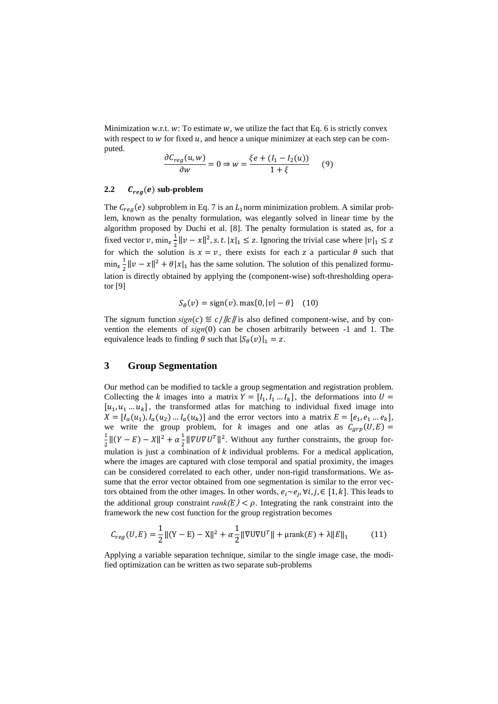Minimization w.r.t.  $w$ : To estimate  $w$ , we utilize the fact that Eq. 6 is strictly convex with respect to  $w$  for fixed  $u$ , and hence a unique minimizer at each step can be computed.

$$
\frac{\partial C_{reg}(u, w)}{\partial w} = 0 \Rightarrow w = \frac{\xi e + (l_1 - l_2(u))}{1 + \xi} \tag{9}
$$

#### **2.2**  $C_{reg}(e)$  sub-problem

The  $C_{rea}(e)$  subproblem in Eq. 7 is an  $L_1$  norm minimization problem. A similar problem, known as the penalty formulation, was elegantly solved in linear time by the algorithm proposed by Duchi et al. [8]. The penalty formulation is stated as, for a fixed vector  $v$ , min<sub>x</sub> $\frac{1}{2}$  $\frac{1}{2} ||v - x||^2$ , *s. t.*  $|x|_1 \le z$ . Ignoring the trivial case where for which the solution is  $x = v$ , there exists for each z a particular  $\theta$  such that  $\min_{x} \frac{1}{2}$  $\frac{1}{2} ||v - x||^2 + \theta |x|_1$  has the same solution. The solution of this penalized formulation is directly obtained by applying the (component-wise) soft-thresholding operator [9]

$$
S_{\theta}(v) = sign(v) \cdot max\{0, |v| - \theta\} \quad (10)
$$

The signum function  $sign(c) \stackrel{\text{def}}{=} c / ||c||$  is also defined component-wise, and by convention the elements of  $sign(0)$  can be chosen arbitrarily between -1 and 1. The equivalence leads to finding  $\theta$  such that  $|S_{\theta}(v)|_1 = z$ .

## **3 Group Segmentation**

Our method can be modified to tackle a group segmentation and registration problem. Collecting the k images into a matrix  $Y = [I_1, I_1 \dots I_k]$ , the deformations into  $[u_1, u_1, u_2, \ldots, u_k]$ , the transformed atlas for matching to individual fixed image into  $X = [I_a(u_1), I_a(u_2) \dots I_a(u_k)]$  and the error vectors into a matrix  $E = [e_1, e_1 \dots e_k],$ we write the group problem, for  $k$  images and one atlas as  $\mathbf{1}$  $\frac{1}{2}||(Y - E) - X||^2 + \alpha \frac{1}{2}$  $\frac{1}{2} \|\nabla \mathbf{U} \nabla \mathbf{U}^T\|^2$ . Without any further constraints, the group formulation is just a combination of  $k$  individual problems. For a medical application, where the images are captured with close temporal and spatial proximity, the images can be considered correlated to each other, under non-rigid transformations. We assume that the error vector obtained from one segmentation is similar to the error vectors obtained from the other images. In other words,  $e_i \sim e_i$ ,  $\forall i, j \in [1, k]$ . This leads to the additional group constraint  $rank(E) < \rho$ . Integrating the rank constraint into the framework the new cost function for the group registration becomes

$$
C_{reg}(U, E) = \frac{1}{2} ||(Y - E) - X||^{2} + \alpha \frac{1}{2} ||\nabla U \nabla U^{T}|| + \mu \text{rank}(E) + \lambda ||E||_{1}
$$
(11)

Applying a variable separation technique, similar to the single image case, the modified optimization can be written as two separate sub-problems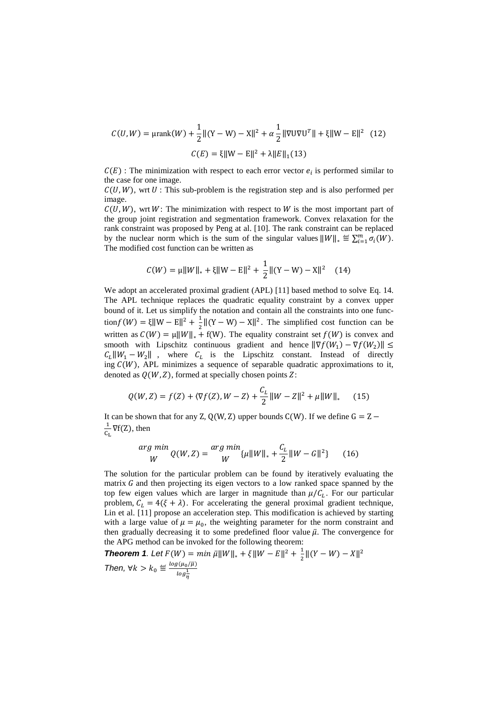$$
C(U, W) = \mu \text{rank}(W) + \frac{1}{2} ||(Y - W) - X||^2 + \alpha \frac{1}{2} ||\nabla U \nabla U^T|| + \xi ||W - E||^2 \quad (12)
$$

$$
C(E) = \xi ||W - E||^2 + \lambda ||E||_1 (13)
$$

 $C(E)$ : The minimization with respect to each error vector  $e_i$  is performed similar to the case for one image.

 $C(U, W)$ , wrt U : This sub-problem is the registration step and is also performed per image.

 $C(U, W)$ , wrt W: The minimization with respect to W is the most important part of the group joint registration and segmentation framework. Convex relaxation for the rank constraint was proposed by Peng at al. [10]. The rank constraint can be replaced by the nuclear norm which is the sum of the singular values  $||W||_* \stackrel{\text{def}}{=} \sum_{i=1}^m \sigma_i(W)$ . The modified cost function can be written as

$$
C(W) = \mu ||W||_{*} + \xi ||W - E||^{2} + \frac{1}{2} ||(Y - W) - X||^{2} \quad (14)
$$

We adopt an accelerated proximal gradient (APL) [11] based method to solve Eq. 14. The APL technique replaces the quadratic equality constraint by a convex upper bound of it. Let us simplify the notation and contain all the constraints into one function  $f(W) = \xi \| W - E \|^2 + \frac{1}{2}$  $\frac{1}{2} ||(Y - W) - X||^2$ . The simplified cost function can be written as  $C(W) = \mu ||W||_* + f(W)$ . The equality constraint set  $f(W)$  is convex and smooth with Lipschitz continuous gradient and hence  $\|\nabla f(W_1) - \nabla f(W_2)\|$  $C_L \Vert W_1 - W_2 \Vert$ , where  $C_L$  is the Lipschitz constant. Instead of directly ing  $C(W)$ , APL minimizes a sequence of separable quadratic approximations to it, denoted as  $Q(W, Z)$ , formed at specially chosen points Z:

$$
Q(W, Z) = f(Z) + \langle \nabla f(Z), W - Z \rangle + \frac{C_L}{2} ||W - Z||^2 + \mu ||W||_* \tag{15}
$$

It can be shown that for any Z, Q(W, Z) upper bounds  $C(W)$ . If we define  $G = Z \mathbf{1}$  $\frac{1}{C_L} \nabla f(Z)$ , then

$$
\frac{arg \min}{W} Q(W, Z) = \frac{arg \min}{W} \{ \mu \| W \|_{*} + \frac{C_L}{2} \| W - G \|^2 \} \tag{16}
$$

The solution for the particular problem can be found by iteratively evaluating the matrix  $G$  and then projecting its eigen vectors to a low ranked space spanned by the top few eigen values which are larger in magnitude than  $\mu/C_L$ . For our particular problem,  $C_L = 4(\xi + \lambda)$ . For accelerating the general proximal gradient technique, Lin et al. [11] propose an acceleration step. This modification is achieved by starting with a large value of  $\mu = \mu_0$ , the weighting parameter for the norm constraint and then gradually decreasing it to some predefined floor value  $\bar{\mu}$ . The convergence for the APG method can be invoked for the following theorem:

**Theorem 1.** Let  $F(W) = min \bar{\mu} ||W||_* + \xi ||W - E||^2 + \frac{1}{2}$  $\frac{1}{2}||(Y-W)-X||^2$ *Then,*  $\forall k > k_0 \stackrel{\text{def}}{=} \frac{\log(\mu_0/\overline{\mu})}{1}$  $log\frac{1}{\eta}$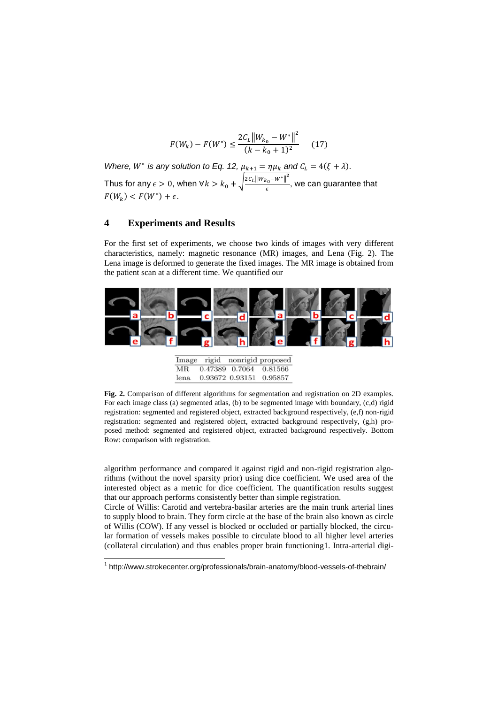$$
F(W_k) - F(W^*) \le \frac{2C_L ||W_{k_0} - W^*||^2}{(k - k_0 + 1)^2}
$$
 (17)

*Where, W<sup>\*</sup> is any solution to Eq. 12,*  $\mu_{k+1} = \eta \mu_k$  and Thus for any  $\epsilon > 0$ , when ∀ $k > k_0 + \sqrt{\frac{2c_L \|W_{k_0} - W^*\|^2}{2c_L\|W_{k_0} - W^*\|^2}}$  $\frac{c_0 - \cdots}{\epsilon}$ , we can guarantee that  $F(W_k) < F(W^*) + \epsilon.$ 

#### **4 Experiments and Results**

For the first set of experiments, we choose two kinds of images with very different characteristics, namely: magnetic resonance (MR) images, and Lena (Fig. 2). The Lena image is deformed to generate the fixed images. The MR image is obtained from the patient scan at a different time. We quantified our



|      | Image rigid |                 | nonrigid proposed |
|------|-------------|-----------------|-------------------|
| MR.  |             | 0.47389 0.7064  | 0.81566           |
| lena |             | 0.93672 0.93151 | 0.95857           |

**Fig. 2.** Comparison of different algorithms for segmentation and registration on 2D examples. For each image class (a) segmented atlas, (b) to be segmented image with boundary, (c,d) rigid registration: segmented and registered object, extracted background respectively, (e,f) non-rigid registration: segmented and registered object, extracted background respectively, (g,h) proposed method: segmented and registered object, extracted background respectively. Bottom Row: comparison with registration.

algorithm performance and compared it against rigid and non-rigid registration algorithms (without the novel sparsity prior) using dice coefficient. We used area of the interested object as a metric for dice coefficient. The quantification results suggest that our approach performs consistently better than simple registration.

Circle of Willis: Carotid and vertebra-basilar arteries are the main trunk arterial lines to supply blood to brain. They form circle at the base of the brain also known as circle of Willis (COW). If any vessel is blocked or occluded or partially blocked, the circular formation of vessels makes possible to circulate blood to all higher level arteries (collateral circulation) and thus enables proper brain functioning1. Intra-arterial digi-

 1 http://www.strokecenter.org/professionals/brain-anatomy/blood-vessels-of-thebrain/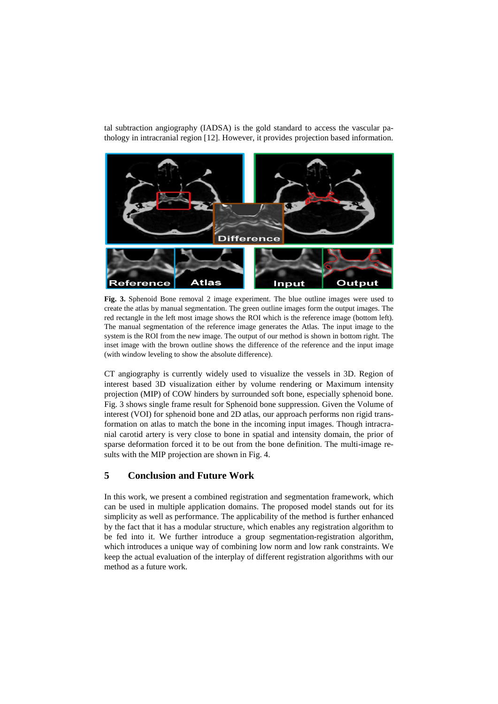tal subtraction angiography (IADSA) is the gold standard to access the vascular pathology in intracranial region [12]. However, it provides projection based information.



**Fig. 3.** Sphenoid Bone removal 2 image experiment. The blue outline images were used to create the atlas by manual segmentation. The green outline images form the output images. The red rectangle in the left most image shows the ROI which is the reference image (bottom left). The manual segmentation of the reference image generates the Atlas. The input image to the system is the ROI from the new image. The output of our method is shown in bottom right. The inset image with the brown outline shows the difference of the reference and the input image (with window leveling to show the absolute difference).

CT angiography is currently widely used to visualize the vessels in 3D. Region of interest based 3D visualization either by volume rendering or Maximum intensity projection (MIP) of COW hinders by surrounded soft bone, especially sphenoid bone. Fig. 3 shows single frame result for Sphenoid bone suppression. Given the Volume of interest (VOI) for sphenoid bone and 2D atlas, our approach performs non rigid transformation on atlas to match the bone in the incoming input images. Though intracranial carotid artery is very close to bone in spatial and intensity domain, the prior of sparse deformation forced it to be out from the bone definition. The multi-image results with the MIP projection are shown in Fig. 4.

# **5 Conclusion and Future Work**

In this work, we present a combined registration and segmentation framework, which can be used in multiple application domains. The proposed model stands out for its simplicity as well as performance. The applicability of the method is further enhanced by the fact that it has a modular structure, which enables any registration algorithm to be fed into it. We further introduce a group segmentation-registration algorithm, which introduces a unique way of combining low norm and low rank constraints. We keep the actual evaluation of the interplay of different registration algorithms with our method as a future work.